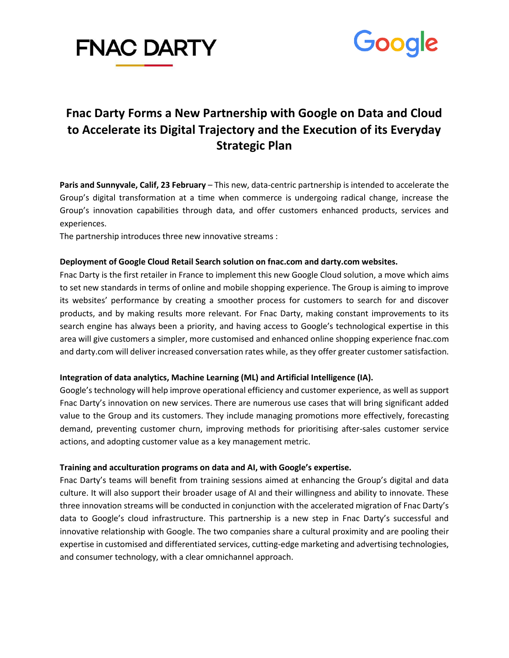



# **Fnac Darty Forms a New Partnership with Google on Data and Cloud to Accelerate its Digital Trajectory and the Execution of its Everyday Strategic Plan**

**Paris and Sunnyvale, Calif, 23 February** – This new, data-centric partnership is intended to accelerate the Group's digital transformation at a time when commerce is undergoing radical change, increase the Group's innovation capabilities through data, and offer customers enhanced products, services and experiences.

The partnership introduces three new innovative streams :

# **Deployment of Google Cloud Retail Search solution on fnac.com and darty.com websites.**

Fnac Darty is the first retailer in France to implement this new Google Cloud solution, a move which aims to set new standards in terms of online and mobile shopping experience. The Group is aiming to improve its websites' performance by creating a smoother process for customers to search for and discover products, and by making results more relevant. For Fnac Darty, making constant improvements to its search engine has always been a priority, and having access to Google's technological expertise in this area will give customers a simpler, more customised and enhanced online shopping experience fnac.com and darty.com will deliver increased conversation rates while, as they offer greater customer satisfaction.

# **Integration of data analytics, Machine Learning (ML) and Artificial Intelligence (IA).**

Google's technology will help improve operational efficiency and customer experience, as well as support Fnac Darty's innovation on new services. There are numerous use cases that will bring significant added value to the Group and its customers. They include managing promotions more effectively, forecasting demand, preventing customer churn, improving methods for prioritising after-sales customer service actions, and adopting customer value as a key management metric.

### **Training and acculturation programs on data and AI, with Google's expertise.**

Fnac Darty's teams will benefit from training sessions aimed at enhancing the Group's digital and data culture. It will also support their broader usage of AI and their willingness and ability to innovate. These three innovation streams will be conducted in conjunction with the accelerated migration of Fnac Darty's data to Google's cloud infrastructure. This partnership is a new step in Fnac Darty's successful and innovative relationship with Google. The two companies share a cultural proximity and are pooling their expertise in customised and differentiated services, cutting-edge marketing and advertising technologies, and consumer technology, with a clear omnichannel approach.